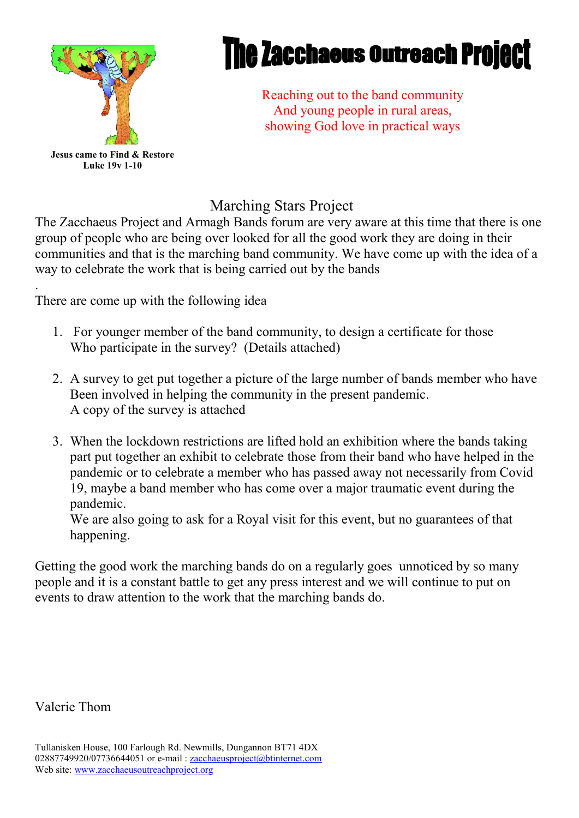

## **The Zacchaeus Outreach Project**

Reaching out to the band community And young people in rural areas, showing God love in practical ways

### Marching Stars Project

The Zacchaeus Project and Armagh Bands forum are very aware at this time that there is one group of people who are being over looked for all the good work they are doing in their communities and that is the marching band community. We have come up with the idea of a way to celebrate the work that is being carried out by the bands

. There are come up with the following idea

- 1. For younger member of the band community, to design a certificate for those Who participate in the survey? (Details attached)
- 2. A survey to get put together a picture of the large number of bands member who have Been involved in helping the community in the present pandemic. A copy of the survey is attached
- 3. When the lockdown restrictions are lifted hold an exhibition where the bands taking part put together an exhibit to celebrate those from their band who have helped in the pandemic or to celebrate a member who has passed away not necessarily from Covid 19, maybe a band member who has come over a major traumatic event during the pandemic.

We are also going to ask for a Royal visit for this event, but no guarantees of that happening.

Getting the good work the marching bands do on a regularly goes unnoticed by so many people and it is a constant battle to get any press interest and we will continue to put on events to draw attention to the work that the marching bands do.

Valerie Thom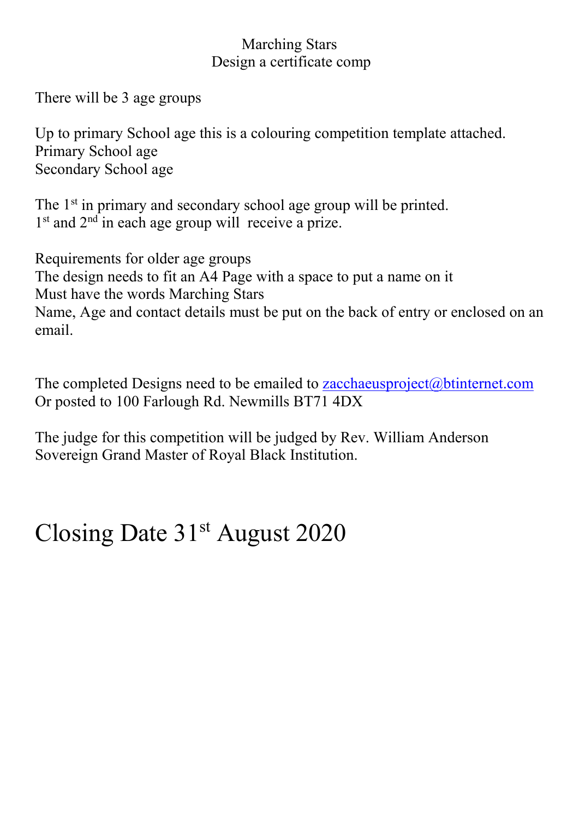#### Marching Stars Design a certificate comp

There will be 3 age groups

Up to primary School age this is a colouring competition template attached. Primary School age Secondary School age

The 1<sup>st</sup> in primary and secondary school age group will be printed.  $1<sup>st</sup>$  and  $2<sup>nd</sup>$  in each age group will receive a prize.

Requirements for older age groups The design needs to fit an A4 Page with a space to put a name on it Must have the words Marching Stars Name, Age and contact details must be put on the back of entry or enclosed on an email.

The completed Designs need to be emailed to [zacchaeusproject@btinternet.com](mailto:zacchaeusproject@btinternet.com) Or posted to 100 Farlough Rd. Newmills BT71 4DX

The judge for this competition will be judged by Rev. William Anderson Sovereign Grand Master of Royal Black Institution.

### Closing Date 31<sup>st</sup> August 2020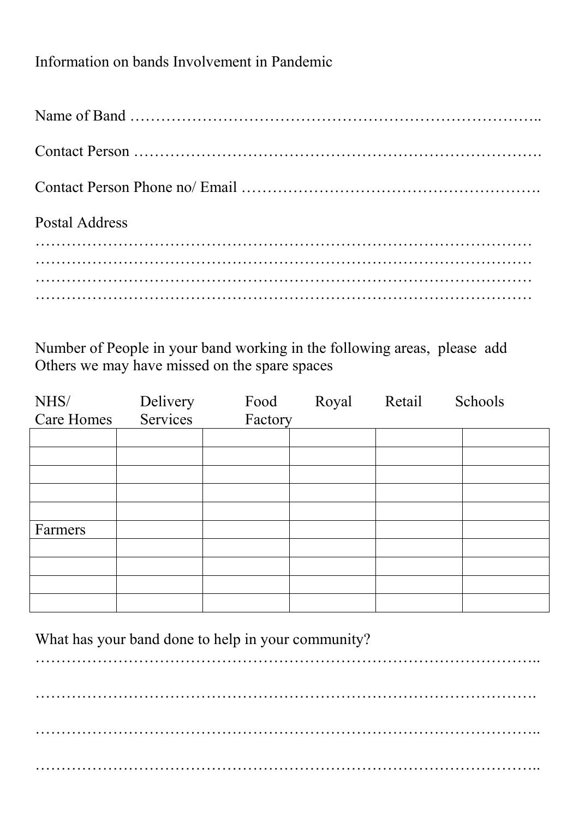### Information on bands Involvement in Pandemic

| Postal Address |  |
|----------------|--|
|                |  |
|                |  |
|                |  |
|                |  |

Number of People in your band working in the following areas, please add Others we may have missed on the spare spaces

| NHS/              | Delivery | Food    | Royal | Retail | Schools |
|-------------------|----------|---------|-------|--------|---------|
| <b>Care Homes</b> | Services | Factory |       |        |         |
|                   |          |         |       |        |         |
|                   |          |         |       |        |         |
|                   |          |         |       |        |         |
|                   |          |         |       |        |         |
|                   |          |         |       |        |         |
| Farmers           |          |         |       |        |         |
|                   |          |         |       |        |         |
|                   |          |         |       |        |         |
|                   |          |         |       |        |         |
|                   |          |         |       |        |         |

What has your band done to help in your community?

…………………………………………………………………………………….. ……………………………………………………………………………………. ……………………………………………………………………………………..

……………………………………………………………………………………..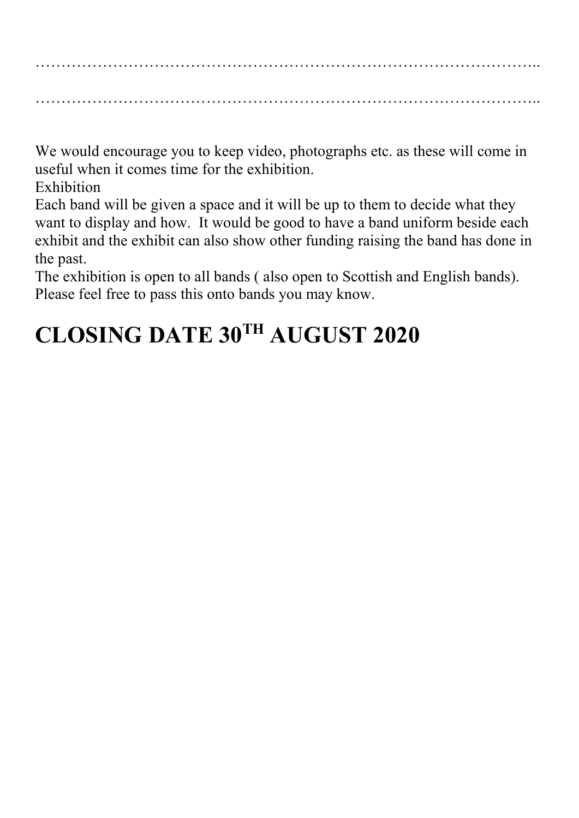…………………………………………………………………………………….. ……………………………………………………………………………………..

We would encourage you to keep video, photographs etc. as these will come in useful when it comes time for the exhibition.

Exhibition

Each band will be given a space and it will be up to them to decide what they want to display and how. It would be good to have a band uniform beside each exhibit and the exhibit can also show other funding raising the band has done in the past.

The exhibition is open to all bands ( also open to Scottish and English bands). Please feel free to pass this onto bands you may know.

### **CLOSING DATE 30TH AUGUST 2020**